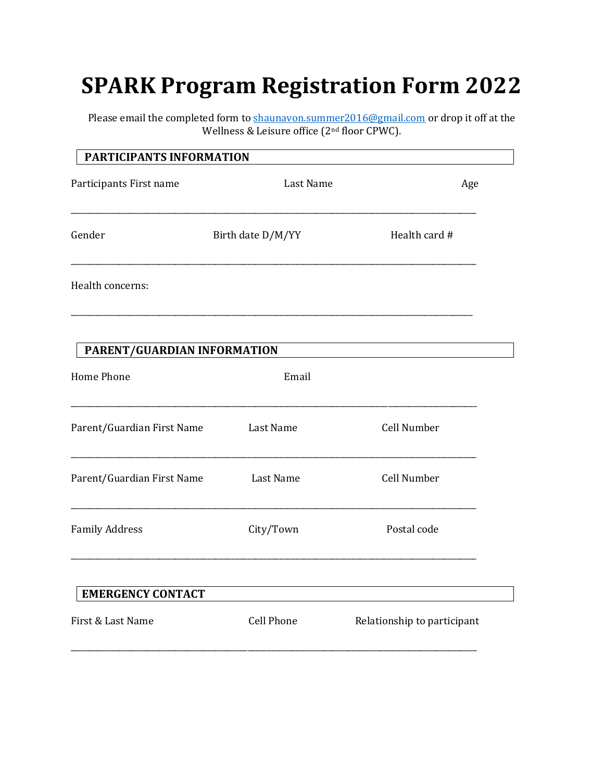# **SPARK Program Registration Form 2022**

Please email the completed form to [shaunavon.summer2016@gmail.com](mailto:shaunavon.summer2016@gmail.com) or drop it off at the Wellness & Leisure office (2nd floor CPWC).

| PARTICIPANTS INFORMATION    |                   |                             |
|-----------------------------|-------------------|-----------------------------|
| Participants First name     | Last Name         | Age                         |
| Gender                      | Birth date D/M/YY | Health card #               |
| Health concerns:            |                   |                             |
| PARENT/GUARDIAN INFORMATION |                   |                             |
| <b>Home Phone</b>           | Email             |                             |
| Parent/Guardian First Name  | <b>Last Name</b>  | Cell Number                 |
| Parent/Guardian First Name  | Last Name         | Cell Number                 |
| <b>Family Address</b>       | City/Town         | Postal code                 |
| <b>EMERGENCY CONTACT</b>    |                   |                             |
| First & Last Name           | <b>Cell Phone</b> | Relationship to participant |
|                             |                   |                             |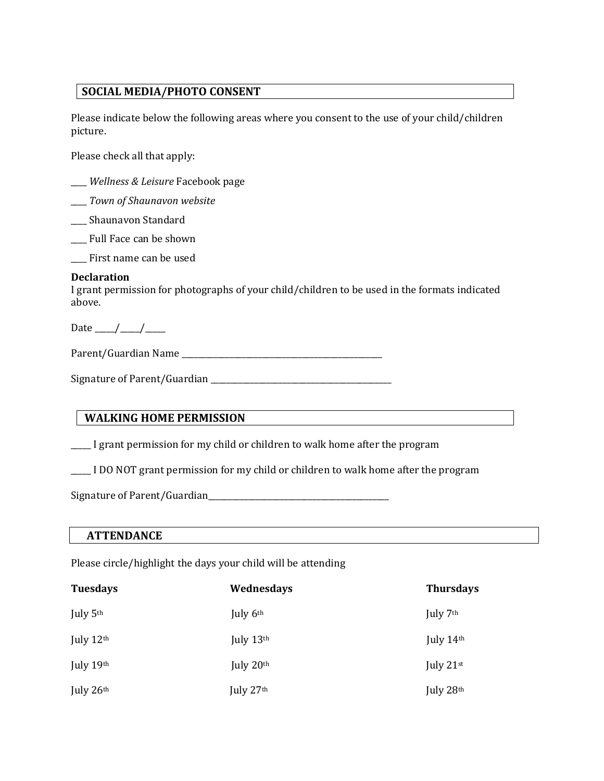#### **SOCIAL MEDIA/PHOTO CONSENT**

Please indicate below the following areas where you consent to the use of your child/children picture.

Please check all that apply:

- \_\_\_\_ *Wellness & Leisure* Facebook page
- \_\_\_\_ *Town of Shaunavon website*
- \_\_\_\_ Shaunavon Standard
- \_\_\_\_ Full Face can be shown
- \_\_\_\_ First name can be used

#### **Declaration**

I grant permission for photographs of your child/children to be used in the formats indicated above.

Date  $_{\_}/_{\_}/$ 

Parent/Guardian Name \_\_\_\_\_\_\_\_\_\_\_\_\_\_\_\_\_\_\_\_\_\_\_\_\_\_\_\_\_\_\_\_\_\_\_\_\_\_\_\_\_\_\_\_\_\_\_\_\_\_

Signature of Parent/Guardian \_\_\_\_\_\_\_\_\_\_\_\_\_\_\_\_\_\_\_\_\_\_\_\_\_\_\_\_\_\_\_\_\_\_\_\_\_\_\_\_\_\_\_\_\_

### **WALKING HOME PERMISSION**

\_\_\_\_\_ I grant permission for my child or children to walk home after the program

\_\_\_\_\_ I DO NOT grant permission for my child or children to walk home after the program

Signature of Parent/Guardian<br>  $\frac{1}{2}$ 

#### **ATTENDANCE**

Please circle/highlight the days your child will be attending

| <b>Tuesdays</b> | Wednesdays | <b>Thursdays</b> |
|-----------------|------------|------------------|
| July 5th        | July 6th   | July 7th         |
| July $12th$     | July 13th  | July 14th        |
| July $19th$     | July 20th  | July 21st        |
| July 26th       | July 27th  | July 28th        |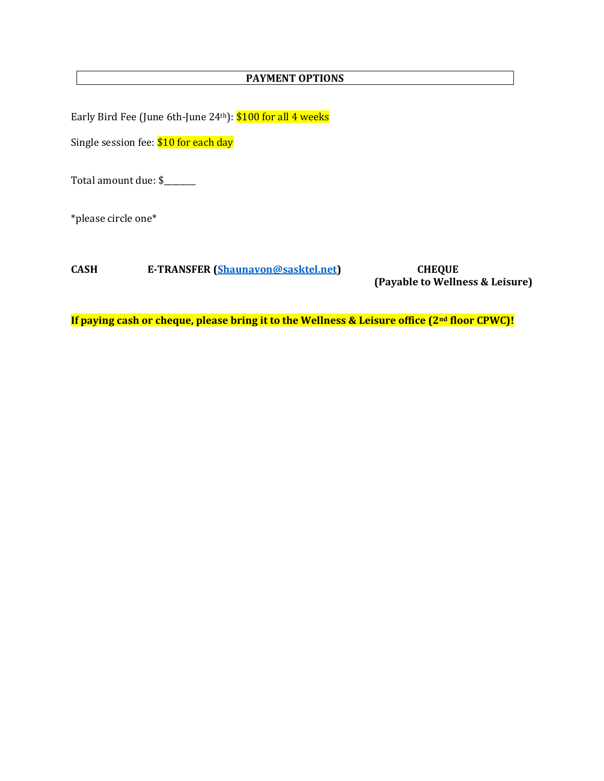#### **PAYMENT OPTIONS**

Early Bird Fee (June 6th-June 24<sup>th</sup>): \$100 for all 4 weeks

Single session fee: \$10 for each day

Total amount due: \$

\*please circle one\*

**CASH E-TRANSFER [\(Shaunavon@sasktel.net\)](mailto:Shaunavon@sasktel.net) CHEQUE** 

**(Payable to Wellness & Leisure)**

**If paying cash or cheque, please bring it to the Wellness & Leisure office (2nd floor CPWC)!**